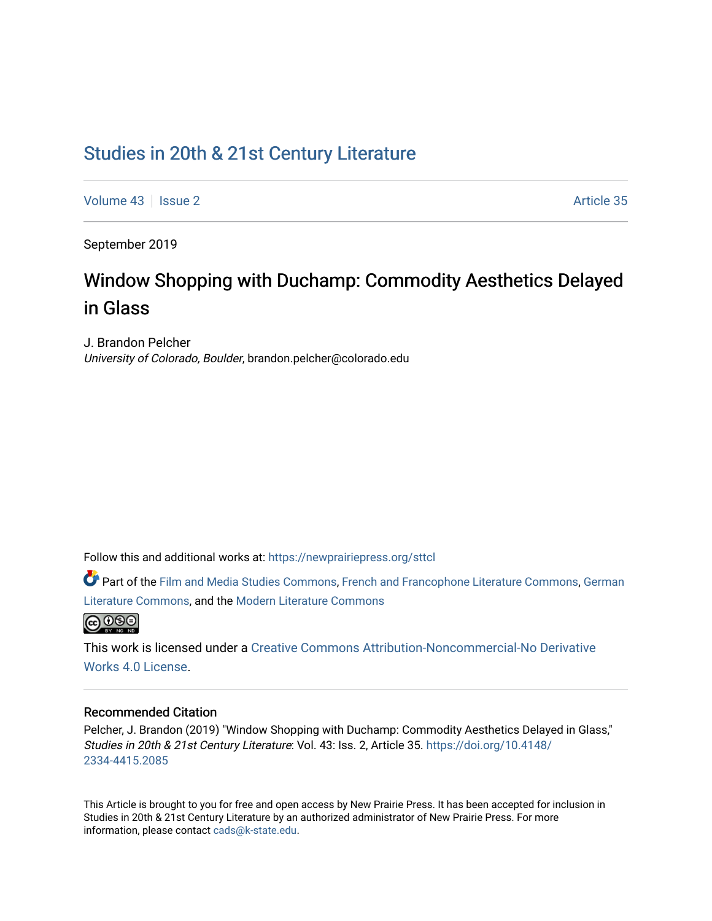## [Studies in 20th & 21st Century Literature](https://newprairiepress.org/sttcl)

[Volume 43](https://newprairiepress.org/sttcl/vol43) | [Issue 2](https://newprairiepress.org/sttcl/vol43/iss2) Article 35

September 2019

# Window Shopping with Duchamp: Commodity Aesthetics Delayed in Glass

J. Brandon Pelcher University of Colorado, Boulder, brandon.pelcher@colorado.edu

Follow this and additional works at: [https://newprairiepress.org/sttcl](https://newprairiepress.org/sttcl?utm_source=newprairiepress.org%2Fsttcl%2Fvol43%2Fiss2%2F35&utm_medium=PDF&utm_campaign=PDFCoverPages) 

Part of the [Film and Media Studies Commons,](http://network.bepress.com/hgg/discipline/563?utm_source=newprairiepress.org%2Fsttcl%2Fvol43%2Fiss2%2F35&utm_medium=PDF&utm_campaign=PDFCoverPages) [French and Francophone Literature Commons,](http://network.bepress.com/hgg/discipline/465?utm_source=newprairiepress.org%2Fsttcl%2Fvol43%2Fiss2%2F35&utm_medium=PDF&utm_campaign=PDFCoverPages) [German](http://network.bepress.com/hgg/discipline/469?utm_source=newprairiepress.org%2Fsttcl%2Fvol43%2Fiss2%2F35&utm_medium=PDF&utm_campaign=PDFCoverPages) [Literature Commons,](http://network.bepress.com/hgg/discipline/469?utm_source=newprairiepress.org%2Fsttcl%2Fvol43%2Fiss2%2F35&utm_medium=PDF&utm_campaign=PDFCoverPages) and the [Modern Literature Commons](http://network.bepress.com/hgg/discipline/1050?utm_source=newprairiepress.org%2Fsttcl%2Fvol43%2Fiss2%2F35&utm_medium=PDF&utm_campaign=PDFCoverPages) 



This work is licensed under a [Creative Commons Attribution-Noncommercial-No Derivative](https://creativecommons.org/licenses/by-nc-nd/4.0/)  [Works 4.0 License](https://creativecommons.org/licenses/by-nc-nd/4.0/).

#### Recommended Citation

Pelcher, J. Brandon (2019) "Window Shopping with Duchamp: Commodity Aesthetics Delayed in Glass," Studies in 20th & 21st Century Literature: Vol. 43: Iss. 2, Article 35. [https://doi.org/10.4148/](https://doi.org/10.4148/2334-4415.2085) [2334-4415.2085](https://doi.org/10.4148/2334-4415.2085) 

This Article is brought to you for free and open access by New Prairie Press. It has been accepted for inclusion in Studies in 20th & 21st Century Literature by an authorized administrator of New Prairie Press. For more information, please contact [cads@k-state.edu](mailto:cads@k-state.edu).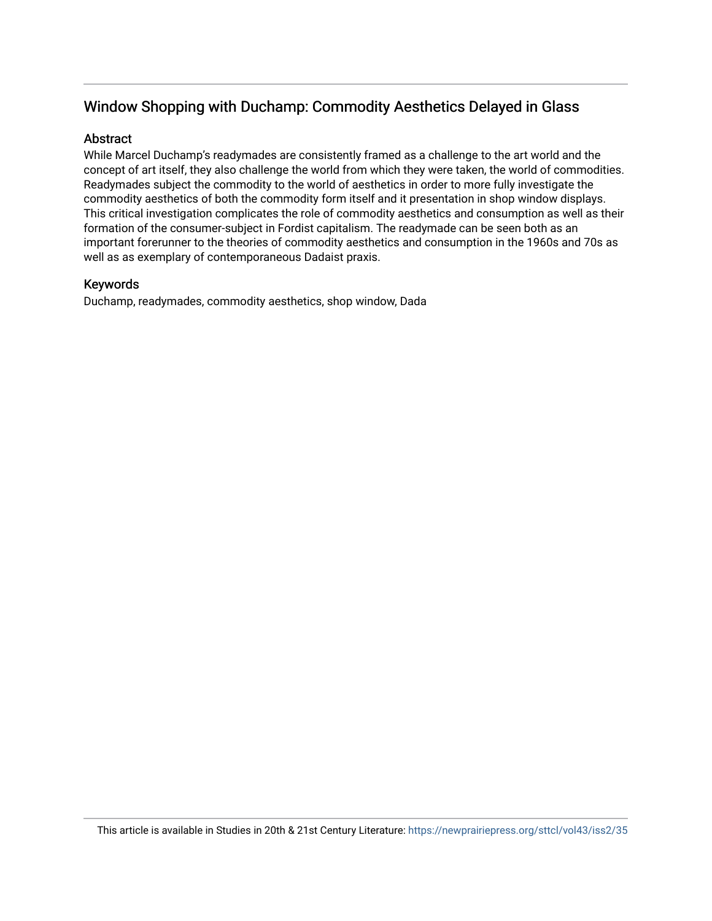### Window Shopping with Duchamp: Commodity Aesthetics Delayed in Glass

#### Abstract

While Marcel Duchamp's readymades are consistently framed as a challenge to the art world and the concept of art itself, they also challenge the world from which they were taken, the world of commodities. Readymades subject the commodity to the world of aesthetics in order to more fully investigate the commodity aesthetics of both the commodity form itself and it presentation in shop window displays. This critical investigation complicates the role of commodity aesthetics and consumption as well as their formation of the consumer-subject in Fordist capitalism. The readymade can be seen both as an important forerunner to the theories of commodity aesthetics and consumption in the 1960s and 70s as well as as exemplary of contemporaneous Dadaist praxis.

#### Keywords

Duchamp, readymades, commodity aesthetics, shop window, Dada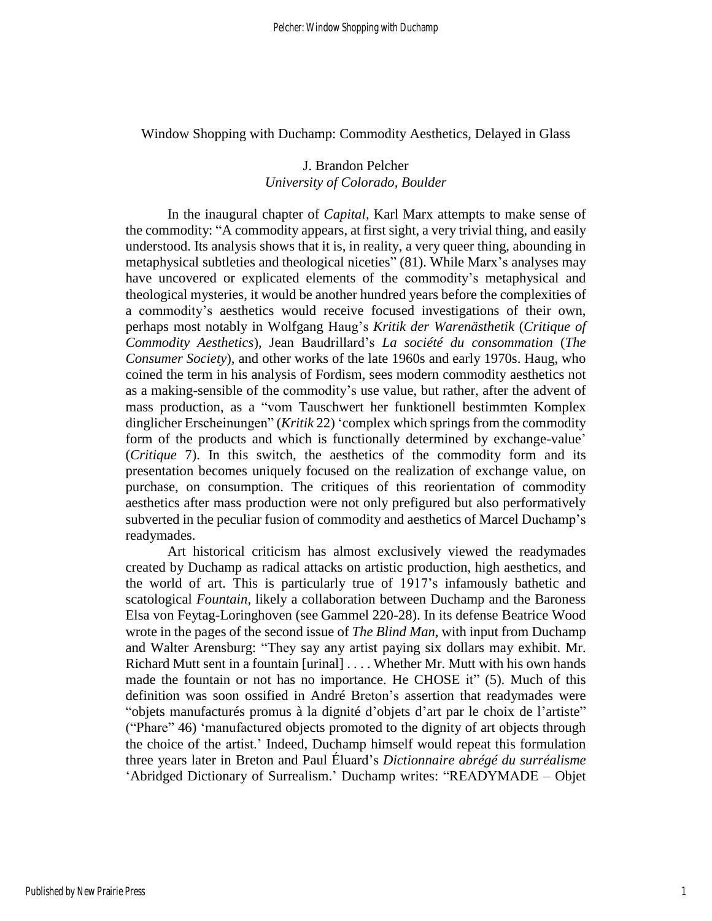Window Shopping with Duchamp: Commodity Aesthetics, Delayed in Glass

#### J. Brandon Pelcher *University of Colorado, Boulder*

In the inaugural chapter of *Capital*, Karl Marx attempts to make sense of the commodity: "A commodity appears, at first sight, a very trivial thing, and easily understood. Its analysis shows that it is, in reality, a very queer thing, abounding in metaphysical subtleties and theological niceties" (81). While Marx's analyses may have uncovered or explicated elements of the commodity's metaphysical and theological mysteries, it would be another hundred years before the complexities of a commodity's aesthetics would receive focused investigations of their own, perhaps most notably in Wolfgang Haug's *Kritik der Warenästhetik* (*Critique of Commodity Aesthetics*), Jean Baudrillard's *La société du consommation* (*The Consumer Society*), and other works of the late 1960s and early 1970s. Haug, who coined the term in his analysis of Fordism, sees modern commodity aesthetics not as a making-sensible of the commodity's use value, but rather, after the advent of mass production, as a "vom Tauschwert her funktionell bestimmten Komplex dinglicher Erscheinungen" (*Kritik* 22) 'complex which springs from the commodity form of the products and which is functionally determined by exchange-value' (*Critique* 7). In this switch, the aesthetics of the commodity form and its presentation becomes uniquely focused on the realization of exchange value, on purchase, on consumption. The critiques of this reorientation of commodity aesthetics after mass production were not only prefigured but also performatively subverted in the peculiar fusion of commodity and aesthetics of Marcel Duchamp's readymades.

Art historical criticism has almost exclusively viewed the readymades created by Duchamp as radical attacks on artistic production, high aesthetics, and the world of art. This is particularly true of 1917's infamously bathetic and scatological *Fountain*, likely a collaboration between Duchamp and the Baroness Elsa von Feytag-Loringhoven (see Gammel 220-28). In its defense Beatrice Wood wrote in the pages of the second issue of *The Blind Man*, with input from Duchamp and Walter Arensburg: "They say any artist paying six dollars may exhibit. Mr. Richard Mutt sent in a fountain [urinal] . . . . Whether Mr. Mutt with his own hands made the fountain or not has no importance. He CHOSE it" (5). Much of this definition was soon ossified in André Breton's assertion that readymades were "objets manufacturés promus à la dignité d'objets d'art par le choix de l'artiste" ("Phare" 46) 'manufactured objects promoted to the dignity of art objects through the choice of the artist.' Indeed, Duchamp himself would repeat this formulation three years later in Breton and Paul Éluard's *Dictionnaire abrégé du surréalisme* 'Abridged Dictionary of Surrealism.' Duchamp writes: "READYMADE – Objet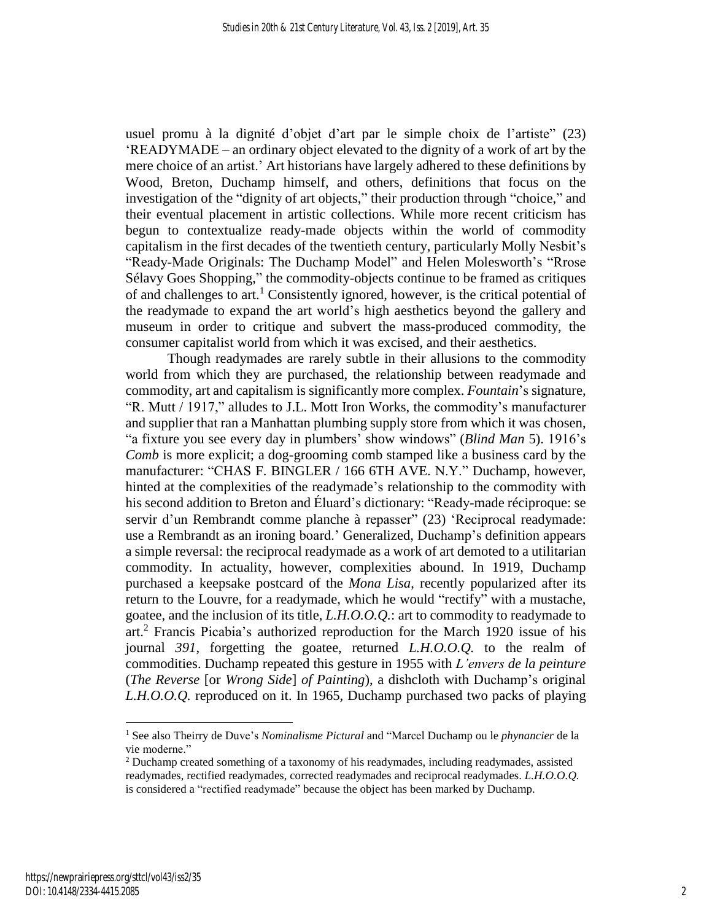usuel promu à la dignité d'objet d'art par le simple choix de l'artiste" (23) 'READYMADE – an ordinary object elevated to the dignity of a work of art by the mere choice of an artist.' Art historians have largely adhered to these definitions by Wood, Breton, Duchamp himself, and others, definitions that focus on the investigation of the "dignity of art objects," their production through "choice," and their eventual placement in artistic collections. While more recent criticism has begun to contextualize ready-made objects within the world of commodity capitalism in the first decades of the twentieth century, particularly Molly Nesbit's "Ready-Made Originals: The Duchamp Model" and Helen Molesworth's "Rrose Sélavy Goes Shopping," the commodity-objects continue to be framed as critiques of and challenges to art.<sup>1</sup> Consistently ignored, however, is the critical potential of the readymade to expand the art world's high aesthetics beyond the gallery and museum in order to critique and subvert the mass-produced commodity, the consumer capitalist world from which it was excised, and their aesthetics.

Though readymades are rarely subtle in their allusions to the commodity world from which they are purchased, the relationship between readymade and commodity, art and capitalism is significantly more complex. *Fountain*'s signature, "R. Mutt / 1917," alludes to J.L. Mott Iron Works, the commodity's manufacturer and supplier that ran a Manhattan plumbing supply store from which it was chosen, "a fixture you see every day in plumbers' show windows" (*Blind Man* 5). 1916's *Comb* is more explicit; a dog-grooming comb stamped like a business card by the manufacturer: "CHAS F. BINGLER / 166 6TH AVE. N.Y." Duchamp, however, hinted at the complexities of the readymade's relationship to the commodity with his second addition to Breton and Éluard's dictionary: "Ready-made réciproque: se servir d'un Rembrandt comme planche à repasser" (23) 'Reciprocal readymade: use a Rembrandt as an ironing board.' Generalized, Duchamp's definition appears a simple reversal: the reciprocal readymade as a work of art demoted to a utilitarian commodity. In actuality, however, complexities abound. In 1919, Duchamp purchased a keepsake postcard of the *Mona Lisa*, recently popularized after its return to the Louvre, for a readymade, which he would "rectify" with a mustache, goatee, and the inclusion of its title, *L.H.O.O.Q.*: art to commodity to readymade to art.<sup>2</sup> Francis Picabia's authorized reproduction for the March 1920 issue of his journal *391*, forgetting the goatee, returned *L.H.O.O.Q.* to the realm of commodities. Duchamp repeated this gesture in 1955 with *L'envers de la peinture* (*The Reverse* [or *Wrong Side*] *of Painting*), a dishcloth with Duchamp's original *L.H.O.O.Q.* reproduced on it. In 1965, Duchamp purchased two packs of playing

<sup>1</sup> See also Theirry de Duve's *Nominalisme Pictural* and "Marcel Duchamp ou le *phynancier* de la vie moderne."

<sup>2</sup> Duchamp created something of a taxonomy of his readymades, including readymades, assisted readymades, rectified readymades, corrected readymades and reciprocal readymades. *L.H.O.O.Q.* is considered a "rectified readymade" because the object has been marked by Duchamp.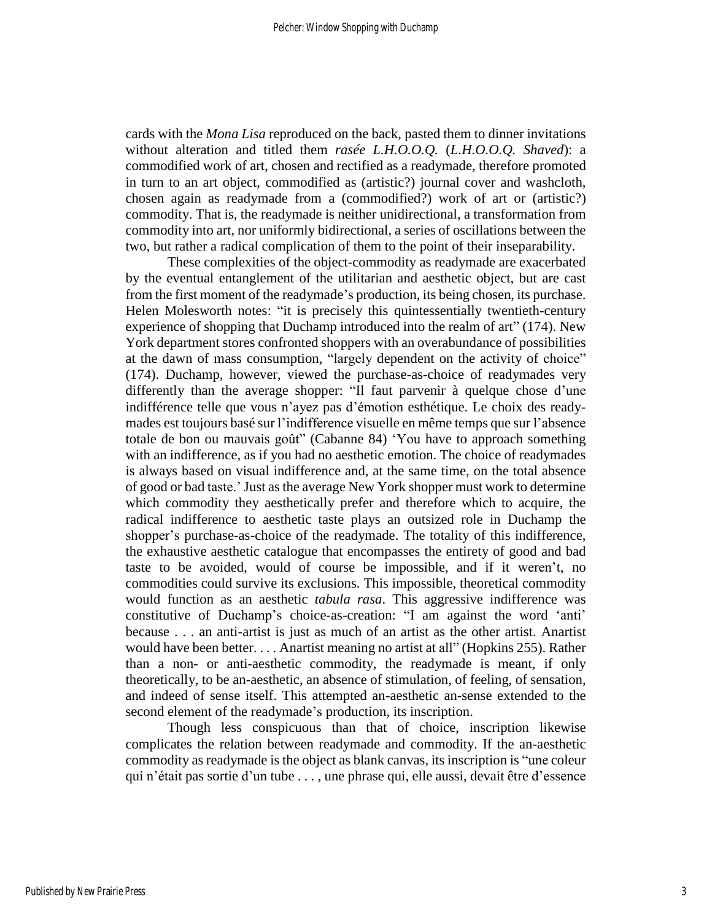cards with the *Mona Lisa* reproduced on the back, pasted them to dinner invitations without alteration and titled them *rasée L.H.O.O.Q.* (*L.H.O.O.Q. Shaved*): a commodified work of art, chosen and rectified as a readymade, therefore promoted in turn to an art object, commodified as (artistic?) journal cover and washcloth, chosen again as readymade from a (commodified?) work of art or (artistic?) commodity. That is, the readymade is neither unidirectional, a transformation from commodity into art, nor uniformly bidirectional, a series of oscillations between the two, but rather a radical complication of them to the point of their inseparability.

These complexities of the object-commodity as readymade are exacerbated by the eventual entanglement of the utilitarian and aesthetic object, but are cast from the first moment of the readymade's production, its being chosen, its purchase. Helen Molesworth notes: "it is precisely this quintessentially twentieth-century experience of shopping that Duchamp introduced into the realm of art" (174). New York department stores confronted shoppers with an overabundance of possibilities at the dawn of mass consumption, "largely dependent on the activity of choice" (174). Duchamp, however, viewed the purchase-as-choice of readymades very differently than the average shopper: "Il faut parvenir à quelque chose d'une indifférence telle que vous n'ayez pas d'émotion esthétique. Le choix des readymades est toujours basé sur l'indifference visuelle en même temps que sur l'absence totale de bon ou mauvais goût" (Cabanne 84) 'You have to approach something with an indifference, as if you had no aesthetic emotion. The choice of readymades is always based on visual indifference and, at the same time, on the total absence of good or bad taste.'Just asthe average New York shopper must work to determine which commodity they aesthetically prefer and therefore which to acquire, the radical indifference to aesthetic taste plays an outsized role in Duchamp the shopper's purchase-as-choice of the readymade. The totality of this indifference, the exhaustive aesthetic catalogue that encompasses the entirety of good and bad taste to be avoided, would of course be impossible, and if it weren't, no commodities could survive its exclusions. This impossible, theoretical commodity would function as an aesthetic *tabula rasa*. This aggressive indifference was constitutive of Duchamp's choice-as-creation: "I am against the word 'anti' because . . . an anti-artist is just as much of an artist as the other artist. Anartist would have been better. . . . Anartist meaning no artist at all" (Hopkins 255). Rather than a non- or anti-aesthetic commodity, the readymade is meant, if only theoretically, to be an-aesthetic, an absence of stimulation, of feeling, of sensation, and indeed of sense itself. This attempted an-aesthetic an-sense extended to the second element of the readymade's production, its inscription.

Though less conspicuous than that of choice, inscription likewise complicates the relation between readymade and commodity. If the an-aesthetic commodity as readymade is the object as blank canvas, its inscription is "une coleur qui n'était pas sortie d'un tube . . . , une phrase qui, elle aussi, devait être d'essence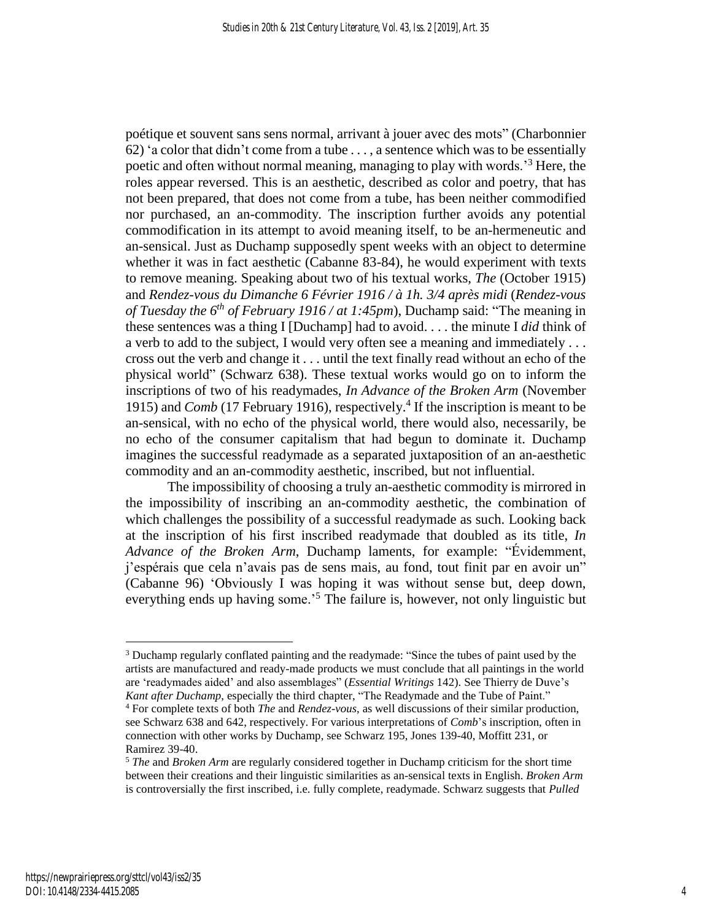poétique et souvent sans sens normal, arrivant à jouer avec des mots" (Charbonnier 62) 'a color that didn't come from a tube . . . , a sentence which was to be essentially poetic and often without normal meaning, managing to play with words.<sup>3</sup> Here, the roles appear reversed. This is an aesthetic, described as color and poetry, that has not been prepared, that does not come from a tube, has been neither commodified nor purchased, an an-commodity. The inscription further avoids any potential commodification in its attempt to avoid meaning itself, to be an-hermeneutic and an-sensical. Just as Duchamp supposedly spent weeks with an object to determine whether it was in fact aesthetic (Cabanne 83-84), he would experiment with texts to remove meaning. Speaking about two of his textual works, *The* (October 1915) and *Rendez-vous du Dimanche 6 Février 1916 / à 1h. 3/4 après midi* (*Rendez-vous of Tuesday the 6 th of February 1916 / at 1:45pm*), Duchamp said: "The meaning in these sentences was a thing I [Duchamp] had to avoid. . . . the minute I *did* think of a verb to add to the subject, I would very often see a meaning and immediately . . . cross out the verb and change it . . . until the text finally read without an echo of the physical world" (Schwarz 638). These textual works would go on to inform the inscriptions of two of his readymades, *In Advance of the Broken Arm* (November 1915) and *Comb* (17 February 1916), respectively.<sup>4</sup> If the inscription is meant to be an-sensical, with no echo of the physical world, there would also, necessarily, be no echo of the consumer capitalism that had begun to dominate it. Duchamp imagines the successful readymade as a separated juxtaposition of an an-aesthetic commodity and an an-commodity aesthetic, inscribed, but not influential.

The impossibility of choosing a truly an-aesthetic commodity is mirrored in the impossibility of inscribing an an-commodity aesthetic, the combination of which challenges the possibility of a successful readymade as such. Looking back at the inscription of his first inscribed readymade that doubled as its title, *In Advance of the Broken Arm*, Duchamp laments, for example: "Évidemment, j'espérais que cela n'avais pas de sens mais, au fond, tout finit par en avoir un" (Cabanne 96) 'Obviously I was hoping it was without sense but, deep down, everything ends up having some.<sup>5</sup> The failure is, however, not only linguistic but

<sup>&</sup>lt;sup>3</sup> Duchamp regularly conflated painting and the readymade: "Since the tubes of paint used by the artists are manufactured and ready-made products we must conclude that all paintings in the world are 'readymades aided' and also assemblages" (*Essential Writings* 142). See Thierry de Duve's *Kant after Duchamp*, especially the third chapter, "The Readymade and the Tube of Paint."

<sup>4</sup> For complete texts of both *The* and *Rendez-vous*, as well discussions of their similar production, see Schwarz 638 and 642, respectively. For various interpretations of *Comb*'s inscription, often in connection with other works by Duchamp, see Schwarz 195, Jones 139-40, Moffitt 231, or Ramirez 39-40.

<sup>5</sup> *The* and *Broken Arm* are regularly considered together in Duchamp criticism for the short time between their creations and their linguistic similarities as an-sensical texts in English. *Broken Arm* is controversially the first inscribed, i.e. fully complete, readymade. Schwarz suggests that *Pulled*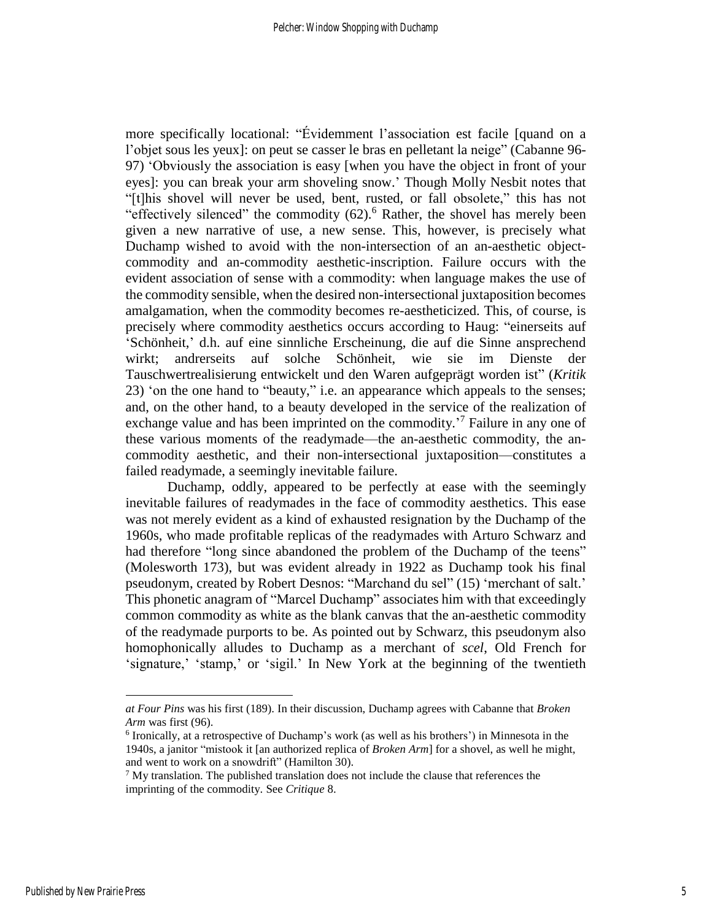more specifically locational: "Évidemment l'association est facile [quand on a l'objet sous les yeux]: on peut se casser le bras en pelletant la neige" (Cabanne 96- 97) 'Obviously the association is easy [when you have the object in front of your eyes]: you can break your arm shoveling snow.' Though Molly Nesbit notes that "[t]his shovel will never be used, bent, rusted, or fall obsolete," this has not "effectively silenced" the commodity  $(62)$ .<sup>6</sup> Rather, the shovel has merely been given a new narrative of use, a new sense. This, however, is precisely what Duchamp wished to avoid with the non-intersection of an an-aesthetic objectcommodity and an-commodity aesthetic-inscription. Failure occurs with the evident association of sense with a commodity: when language makes the use of the commodity sensible, when the desired non-intersectional juxtaposition becomes amalgamation, when the commodity becomes re-aestheticized. This, of course, is precisely where commodity aesthetics occurs according to Haug: "einerseits auf 'Schönheit,' d.h. auf eine sinnliche Erscheinung, die auf die Sinne ansprechend wirkt; andrerseits auf solche Schönheit, wie sie im Dienste der Tauschwertrealisierung entwickelt und den Waren aufgeprägt worden ist" (*Kritik* 23) 'on the one hand to "beauty," i.e. an appearance which appeals to the senses; and, on the other hand, to a beauty developed in the service of the realization of exchange value and has been imprinted on the commodity.<sup>'7</sup> Failure in any one of these various moments of the readymade—the an-aesthetic commodity, the ancommodity aesthetic, and their non-intersectional juxtaposition—constitutes a failed readymade, a seemingly inevitable failure.

Duchamp, oddly, appeared to be perfectly at ease with the seemingly inevitable failures of readymades in the face of commodity aesthetics. This ease was not merely evident as a kind of exhausted resignation by the Duchamp of the 1960s, who made profitable replicas of the readymades with Arturo Schwarz and had therefore "long since abandoned the problem of the Duchamp of the teens" (Molesworth 173), but was evident already in 1922 as Duchamp took his final pseudonym, created by Robert Desnos: "Marchand du sel" (15) 'merchant of salt.' This phonetic anagram of "Marcel Duchamp" associates him with that exceedingly common commodity as white as the blank canvas that the an-aesthetic commodity of the readymade purports to be. As pointed out by Schwarz, this pseudonym also homophonically alludes to Duchamp as a merchant of *scel*, Old French for 'signature,' 'stamp,' or 'sigil.' In New York at the beginning of the twentieth

*at Four Pins* was his first (189). In their discussion, Duchamp agrees with Cabanne that *Broken Arm* was first (96).

<sup>&</sup>lt;sup>6</sup> Ironically, at a retrospective of Duchamp's work (as well as his brothers') in Minnesota in the 1940s, a janitor "mistook it [an authorized replica of *Broken Arm*] for a shovel, as well he might, and went to work on a snowdrift" (Hamilton 30).

 $<sup>7</sup>$  My translation. The published translation does not include the clause that references the</sup> imprinting of the commodity. See *Critique* 8.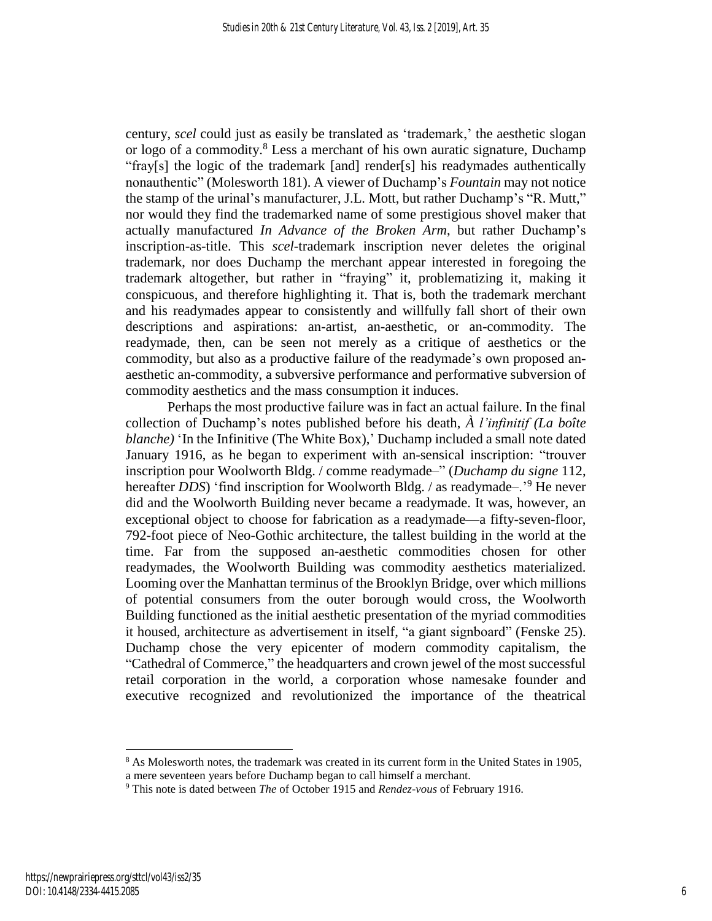century, *scel* could just as easily be translated as 'trademark,' the aesthetic slogan or logo of a commodity.<sup>8</sup> Less a merchant of his own auratic signature, Duchamp "fray[s] the logic of the trademark [and] render[s] his readymades authentically nonauthentic" (Molesworth 181). A viewer of Duchamp's *Fountain* may not notice the stamp of the urinal's manufacturer, J.L. Mott, but rather Duchamp's "R. Mutt," nor would they find the trademarked name of some prestigious shovel maker that actually manufactured *In Advance of the Broken Arm*, but rather Duchamp's inscription-as-title. This *scel*-trademark inscription never deletes the original trademark, nor does Duchamp the merchant appear interested in foregoing the trademark altogether, but rather in "fraying" it, problematizing it, making it conspicuous, and therefore highlighting it. That is, both the trademark merchant and his readymades appear to consistently and willfully fall short of their own descriptions and aspirations: an-artist, an-aesthetic, or an-commodity. The readymade, then, can be seen not merely as a critique of aesthetics or the commodity, but also as a productive failure of the readymade's own proposed anaesthetic an-commodity, a subversive performance and performative subversion of commodity aesthetics and the mass consumption it induces.

Perhaps the most productive failure was in fact an actual failure. In the final collection of Duchamp's notes published before his death, *À l'infinitif (La boîte blanche)* 'In the Infinitive (The White Box),' Duchamp included a small note dated January 1916, as he began to experiment with an-sensical inscription: "trouver inscription pour Woolworth Bldg. / comme readymade–" (*Duchamp du signe* 112, hereafter *DDS*) 'find inscription for Woolworth Bldg. / as readymade-.<sup>'9</sup> He never did and the Woolworth Building never became a readymade. It was, however, an exceptional object to choose for fabrication as a readymade—a fifty-seven-floor, 792-foot piece of Neo-Gothic architecture, the tallest building in the world at the time. Far from the supposed an-aesthetic commodities chosen for other readymades, the Woolworth Building was commodity aesthetics materialized. Looming over the Manhattan terminus of the Brooklyn Bridge, over which millions of potential consumers from the outer borough would cross, the Woolworth Building functioned as the initial aesthetic presentation of the myriad commodities it housed, architecture as advertisement in itself, "a giant signboard" (Fenske 25). Duchamp chose the very epicenter of modern commodity capitalism, the "Cathedral of Commerce," the headquarters and crown jewel of the most successful retail corporation in the world, a corporation whose namesake founder and executive recognized and revolutionized the importance of the theatrical

<sup>&</sup>lt;sup>8</sup> As Molesworth notes, the trademark was created in its current form in the United States in 1905,

a mere seventeen years before Duchamp began to call himself a merchant.

<sup>9</sup> This note is dated between *The* of October 1915 and *Rendez-vous* of February 1916.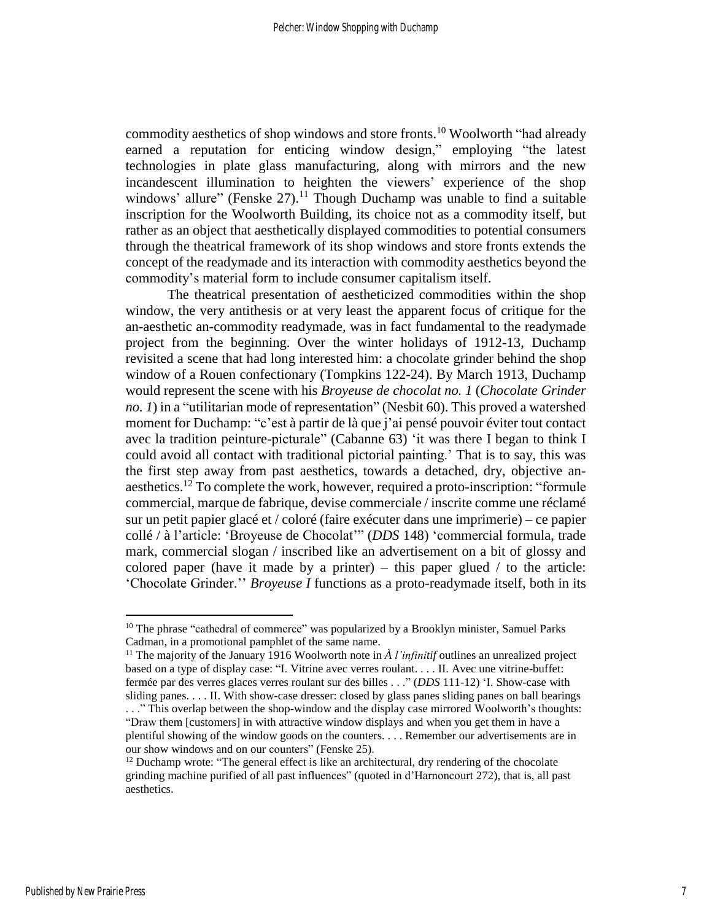commodity aesthetics of shop windows and store fronts.<sup>10</sup> Woolworth "had already earned a reputation for enticing window design," employing "the latest technologies in plate glass manufacturing, along with mirrors and the new incandescent illumination to heighten the viewers' experience of the shop windows' allure" (Fenske  $27$ ).<sup>11</sup> Though Duchamp was unable to find a suitable inscription for the Woolworth Building, its choice not as a commodity itself, but rather as an object that aesthetically displayed commodities to potential consumers through the theatrical framework of its shop windows and store fronts extends the concept of the readymade and its interaction with commodity aesthetics beyond the commodity's material form to include consumer capitalism itself.

The theatrical presentation of aestheticized commodities within the shop window, the very antithesis or at very least the apparent focus of critique for the an-aesthetic an-commodity readymade, was in fact fundamental to the readymade project from the beginning. Over the winter holidays of 1912-13, Duchamp revisited a scene that had long interested him: a chocolate grinder behind the shop window of a Rouen confectionary (Tompkins 122-24). By March 1913, Duchamp would represent the scene with his *Broyeuse de chocolat no. 1* (*Chocolate Grinder no. 1*) in a "utilitarian mode of representation" (Nesbit 60). This proved a watershed moment for Duchamp: "c'est à partir de là que j'ai pensé pouvoir éviter tout contact avec la tradition peinture-picturale" (Cabanne 63) 'it was there I began to think I could avoid all contact with traditional pictorial painting.' That is to say, this was the first step away from past aesthetics, towards a detached, dry, objective anaesthetics.<sup>12</sup> To complete the work, however, required a proto-inscription: "formule commercial, marque de fabrique, devise commerciale / inscrite comme une réclamé sur un petit papier glacé et / coloré (faire exécuter dans une imprimerie) – ce papier collé / à l'article: 'Broyeuse de Chocolat'" (*DDS* 148) 'commercial formula, trade mark, commercial slogan / inscribed like an advertisement on a bit of glossy and colored paper (have it made by a printer) – this paper glued  $\ell$  to the article: 'Chocolate Grinder.'' *Broyeuse I* functions as a proto-readymade itself, both in its

 $10$  The phrase "cathedral of commerce" was popularized by a Brooklyn minister, Samuel Parks Cadman, in a promotional pamphlet of the same name.

<sup>&</sup>lt;sup>11</sup> The majority of the January 1916 Woolworth note in  $\lambda$  *l'infinitif* outlines an unrealized project based on a type of display case: "I. Vitrine avec verres roulant. . . . II. Avec une vitrine-buffet: fermée par des verres glaces verres roulant sur des billes . . ." (*DDS* 111-12) 'I. Show-case with sliding panes. . . . II. With show-case dresser: closed by glass panes sliding panes on ball bearings

<sup>.</sup> . ." This overlap between the shop-window and the display case mirrored Woolworth's thoughts: "Draw them [customers] in with attractive window displays and when you get them in have a plentiful showing of the window goods on the counters. . . . Remember our advertisements are in our show windows and on our counters" (Fenske 25).

 $12$  Duchamp wrote: "The general effect is like an architectural, dry rendering of the chocolate grinding machine purified of all past influences" (quoted in d'Harnoncourt 272), that is, all past aesthetics.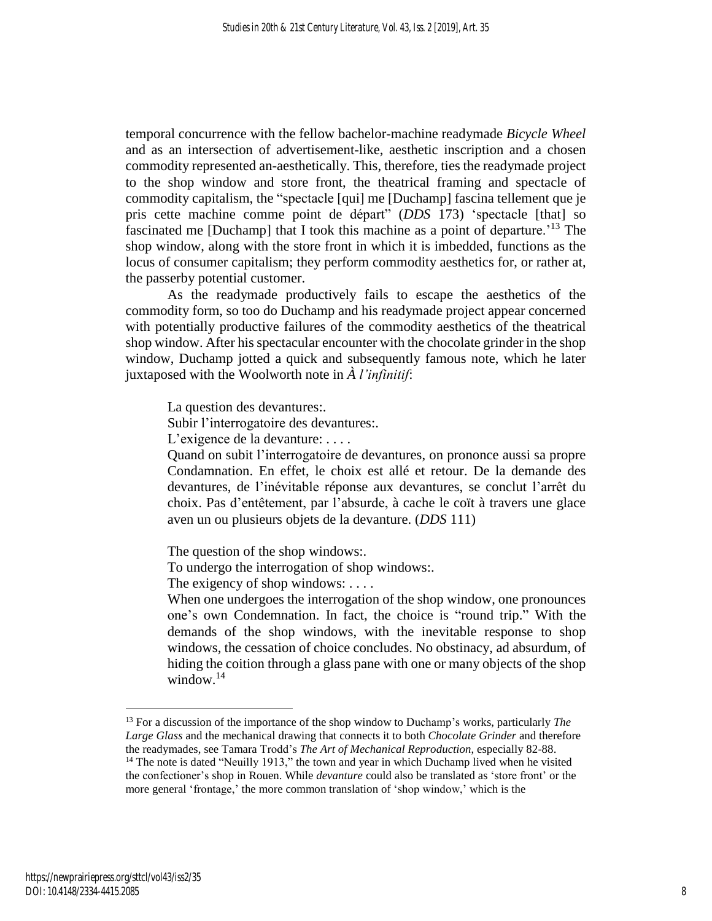temporal concurrence with the fellow bachelor-machine readymade *Bicycle Wheel* and as an intersection of advertisement-like, aesthetic inscription and a chosen commodity represented an-aesthetically. This, therefore, ties the readymade project to the shop window and store front, the theatrical framing and spectacle of commodity capitalism, the "spectacle [qui] me [Duchamp] fascina tellement que je pris cette machine comme point de départ" (*DDS* 173) 'spectacle [that] so fascinated me [Duchamp] that I took this machine as a point of departure.<sup>'13</sup> The shop window, along with the store front in which it is imbedded, functions as the locus of consumer capitalism; they perform commodity aesthetics for, or rather at, the passerby potential customer.

As the readymade productively fails to escape the aesthetics of the commodity form, so too do Duchamp and his readymade project appear concerned with potentially productive failures of the commodity aesthetics of the theatrical shop window. After his spectacular encounter with the chocolate grinder in the shop window, Duchamp jotted a quick and subsequently famous note, which he later juxtaposed with the Woolworth note in *À l'infinitif*:

La question des devantures:.

Subir l'interrogatoire des devantures:.

L'exigence de la devanture: ....

Quand on subit l'interrogatoire de devantures, on prononce aussi sa propre Condamnation. En effet, le choix est allé et retour. De la demande des devantures, de l'inévitable réponse aux devantures, se conclut l'arrêt du choix. Pas d'entêtement, par l'absurde, à cache le coït à travers une glace aven un ou plusieurs objets de la devanture. (*DDS* 111)

The question of the shop windows:.

To undergo the interrogation of shop windows:.

The exigency of shop windows: . . . .

When one undergoes the interrogation of the shop window, one pronounces one's own Condemnation. In fact, the choice is "round trip." With the demands of the shop windows, with the inevitable response to shop windows, the cessation of choice concludes. No obstinacy, ad absurdum, of hiding the coition through a glass pane with one or many objects of the shop window.<sup>14</sup>

<sup>13</sup> For a discussion of the importance of the shop window to Duchamp's works, particularly *The Large Glass* and the mechanical drawing that connects it to both *Chocolate Grinder* and therefore the readymades, see Tamara Trodd's *The Art of Mechanical Reproduction*, especially 82-88. <sup>14</sup> The note is dated "Neuilly 1913," the town and year in which Duchamp lived when he visited

the confectioner's shop in Rouen. While *devanture* could also be translated as 'store front' or the more general 'frontage,' the more common translation of 'shop window,' which is the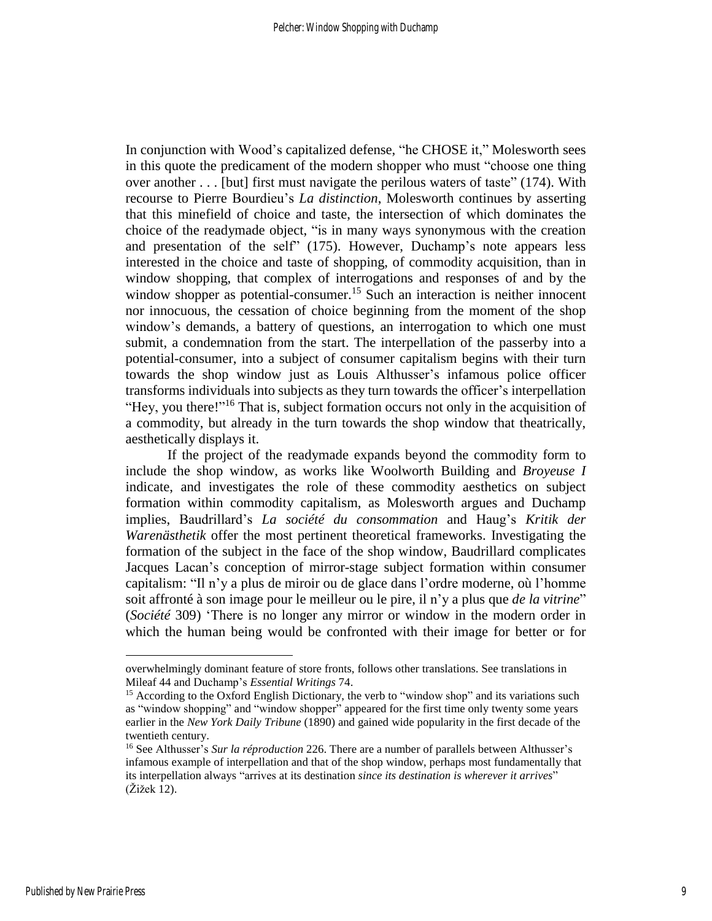In conjunction with Wood's capitalized defense, "he CHOSE it," Molesworth sees in this quote the predicament of the modern shopper who must "choose one thing over another . . . [but] first must navigate the perilous waters of taste" (174). With recourse to Pierre Bourdieu's *La distinction*, Molesworth continues by asserting that this minefield of choice and taste, the intersection of which dominates the choice of the readymade object, "is in many ways synonymous with the creation and presentation of the self" (175). However, Duchamp's note appears less interested in the choice and taste of shopping, of commodity acquisition, than in window shopping, that complex of interrogations and responses of and by the window shopper as potential-consumer.<sup>15</sup> Such an interaction is neither innocent nor innocuous, the cessation of choice beginning from the moment of the shop window's demands, a battery of questions, an interrogation to which one must submit, a condemnation from the start. The interpellation of the passerby into a potential-consumer, into a subject of consumer capitalism begins with their turn towards the shop window just as Louis Althusser's infamous police officer transforms individuals into subjects as they turn towards the officer's interpellation "Hey, you there!"<sup>16</sup> That is, subject formation occurs not only in the acquisition of a commodity, but already in the turn towards the shop window that theatrically, aesthetically displays it.

If the project of the readymade expands beyond the commodity form to include the shop window, as works like Woolworth Building and *Broyeuse I* indicate, and investigates the role of these commodity aesthetics on subject formation within commodity capitalism, as Molesworth argues and Duchamp implies, Baudrillard's *La société du consommation* and Haug's *Kritik der Warenästhetik* offer the most pertinent theoretical frameworks. Investigating the formation of the subject in the face of the shop window, Baudrillard complicates Jacques Lacan's conception of mirror-stage subject formation within consumer capitalism: "Il n'y a plus de miroir ou de glace dans l'ordre moderne, où l'homme soit affronté à son image pour le meilleur ou le pire, il n'y a plus que *de la vitrine*" (*Société* 309) 'There is no longer any mirror or window in the modern order in which the human being would be confronted with their image for better or for

overwhelmingly dominant feature of store fronts, follows other translations. See translations in Mileaf 44 and Duchamp's *Essential Writings* 74.

<sup>&</sup>lt;sup>15</sup> According to the Oxford English Dictionary, the verb to "window shop" and its variations such as "window shopping" and "window shopper" appeared for the first time only twenty some years earlier in the *New York Daily Tribune* (1890) and gained wide popularity in the first decade of the twentieth century.

<sup>16</sup> See Althusser's *Sur la réproduction* 226. There are a number of parallels between Althusser's infamous example of interpellation and that of the shop window, perhaps most fundamentally that its interpellation always "arrives at its destination *since its destination is wherever it arrives*" (Žižek 12).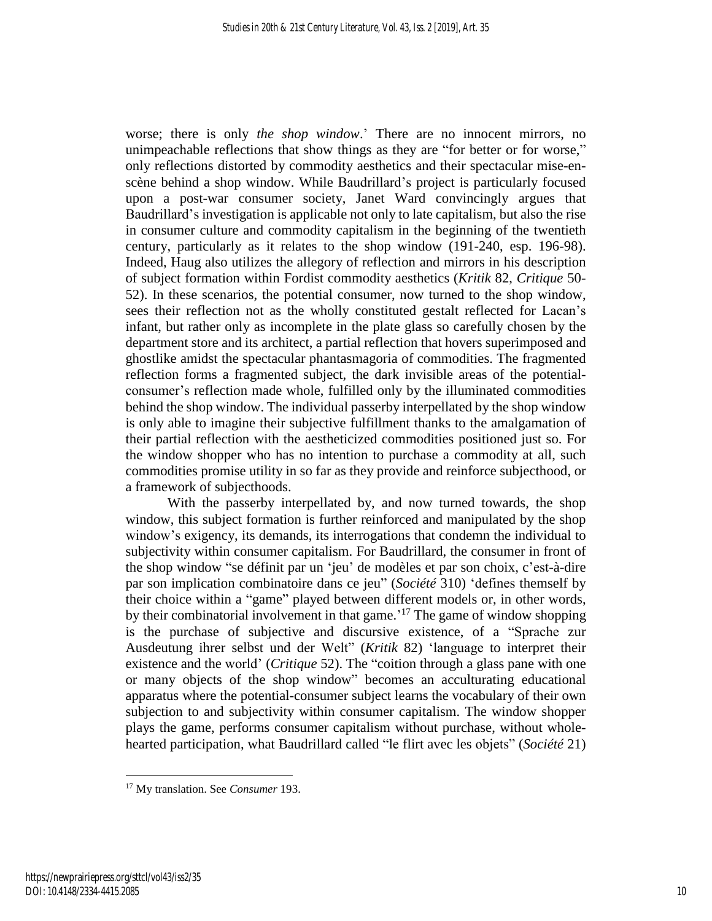worse; there is only *the shop window*.' There are no innocent mirrors, no unimpeachable reflections that show things as they are "for better or for worse," only reflections distorted by commodity aesthetics and their spectacular mise-enscène behind a shop window. While Baudrillard's project is particularly focused upon a post-war consumer society, Janet Ward convincingly argues that Baudrillard's investigation is applicable not only to late capitalism, but also the rise in consumer culture and commodity capitalism in the beginning of the twentieth century, particularly as it relates to the shop window (191-240, esp. 196-98). Indeed, Haug also utilizes the allegory of reflection and mirrors in his description of subject formation within Fordist commodity aesthetics (*Kritik* 82, *Critique* 50- 52). In these scenarios, the potential consumer, now turned to the shop window, sees their reflection not as the wholly constituted gestalt reflected for Lacan's infant, but rather only as incomplete in the plate glass so carefully chosen by the department store and its architect, a partial reflection that hovers superimposed and ghostlike amidst the spectacular phantasmagoria of commodities. The fragmented reflection forms a fragmented subject, the dark invisible areas of the potentialconsumer's reflection made whole, fulfilled only by the illuminated commodities behind the shop window. The individual passerby interpellated by the shop window is only able to imagine their subjective fulfillment thanks to the amalgamation of their partial reflection with the aestheticized commodities positioned just so. For the window shopper who has no intention to purchase a commodity at all, such commodities promise utility in so far as they provide and reinforce subjecthood, or a framework of subjecthoods.

With the passerby interpellated by, and now turned towards, the shop window, this subject formation is further reinforced and manipulated by the shop window's exigency, its demands, its interrogations that condemn the individual to subjectivity within consumer capitalism. For Baudrillard, the consumer in front of the shop window "se définit par un 'jeu' de modèles et par son choix, c'est-à-dire par son implication combinatoire dans ce jeu" (*Société* 310) 'defines themself by their choice within a "game" played between different models or, in other words, by their combinatorial involvement in that game.<sup>17</sup> The game of window shopping is the purchase of subjective and discursive existence, of a "Sprache zur Ausdeutung ihrer selbst und der Welt" (*Kritik* 82) 'language to interpret their existence and the world' (*Critique* 52). The "coition through a glass pane with one or many objects of the shop window" becomes an acculturating educational apparatus where the potential-consumer subject learns the vocabulary of their own subjection to and subjectivity within consumer capitalism. The window shopper plays the game, performs consumer capitalism without purchase, without wholehearted participation, what Baudrillard called "le flirt avec les objets" (*Société* 21)

<sup>17</sup> My translation. See *Consumer* 193.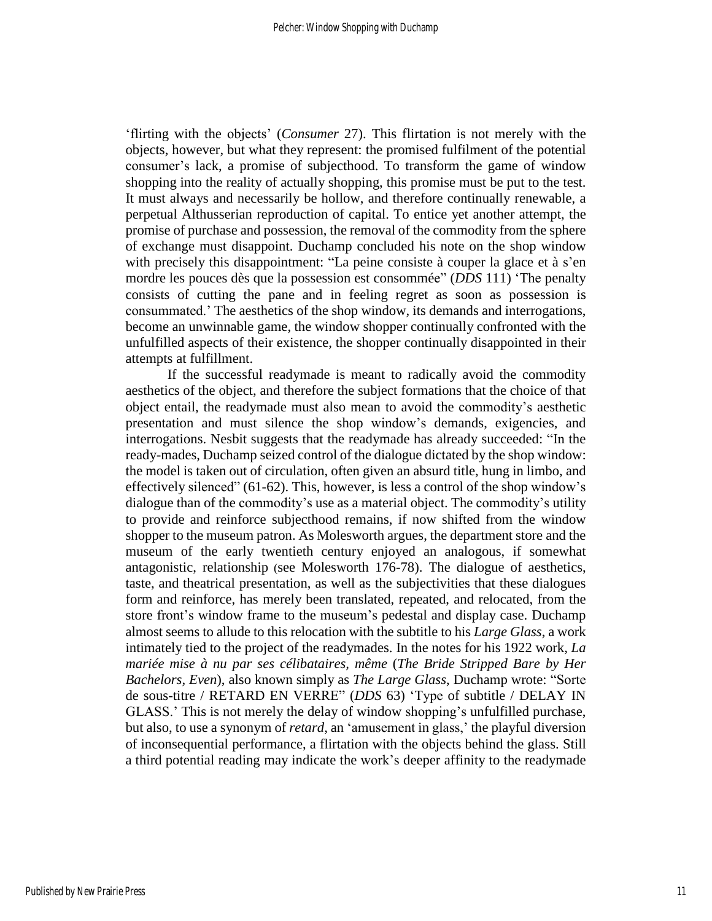'flirting with the objects' (*Consumer* 27). This flirtation is not merely with the objects, however, but what they represent: the promised fulfilment of the potential consumer's lack, a promise of subjecthood. To transform the game of window shopping into the reality of actually shopping, this promise must be put to the test. It must always and necessarily be hollow, and therefore continually renewable, a perpetual Althusserian reproduction of capital. To entice yet another attempt, the promise of purchase and possession, the removal of the commodity from the sphere of exchange must disappoint. Duchamp concluded his note on the shop window with precisely this disappointment: "La peine consiste à couper la glace et à s'en mordre les pouces dès que la possession est consommée" (*DDS* 111) 'The penalty consists of cutting the pane and in feeling regret as soon as possession is consummated.' The aesthetics of the shop window, its demands and interrogations, become an unwinnable game, the window shopper continually confronted with the unfulfilled aspects of their existence, the shopper continually disappointed in their attempts at fulfillment.

If the successful readymade is meant to radically avoid the commodity aesthetics of the object, and therefore the subject formations that the choice of that object entail, the readymade must also mean to avoid the commodity's aesthetic presentation and must silence the shop window's demands, exigencies, and interrogations. Nesbit suggests that the readymade has already succeeded: "In the ready-mades, Duchamp seized control of the dialogue dictated by the shop window: the model is taken out of circulation, often given an absurd title, hung in limbo, and effectively silenced" (61-62). This, however, is less a control of the shop window's dialogue than of the commodity's use as a material object. The commodity's utility to provide and reinforce subjecthood remains, if now shifted from the window shopper to the museum patron. As Molesworth argues, the department store and the museum of the early twentieth century enjoyed an analogous, if somewhat antagonistic, relationship (see Molesworth 176-78). The dialogue of aesthetics, taste, and theatrical presentation, as well as the subjectivities that these dialogues form and reinforce, has merely been translated, repeated, and relocated, from the store front's window frame to the museum's pedestal and display case. Duchamp almost seems to allude to this relocation with the subtitle to his *Large Glass*, a work intimately tied to the project of the readymades. In the notes for his 1922 work, *La mariée mise à nu par ses célibataires, même* (*The Bride Stripped Bare by Her Bachelors, Even*), also known simply as *The Large Glass*, Duchamp wrote: "Sorte de sous-titre / RETARD EN VERRE" (*DDS* 63) 'Type of subtitle / DELAY IN GLASS.' This is not merely the delay of window shopping's unfulfilled purchase, but also, to use a synonym of *retard*, an 'amusement in glass,' the playful diversion of inconsequential performance, a flirtation with the objects behind the glass. Still a third potential reading may indicate the work's deeper affinity to the readymade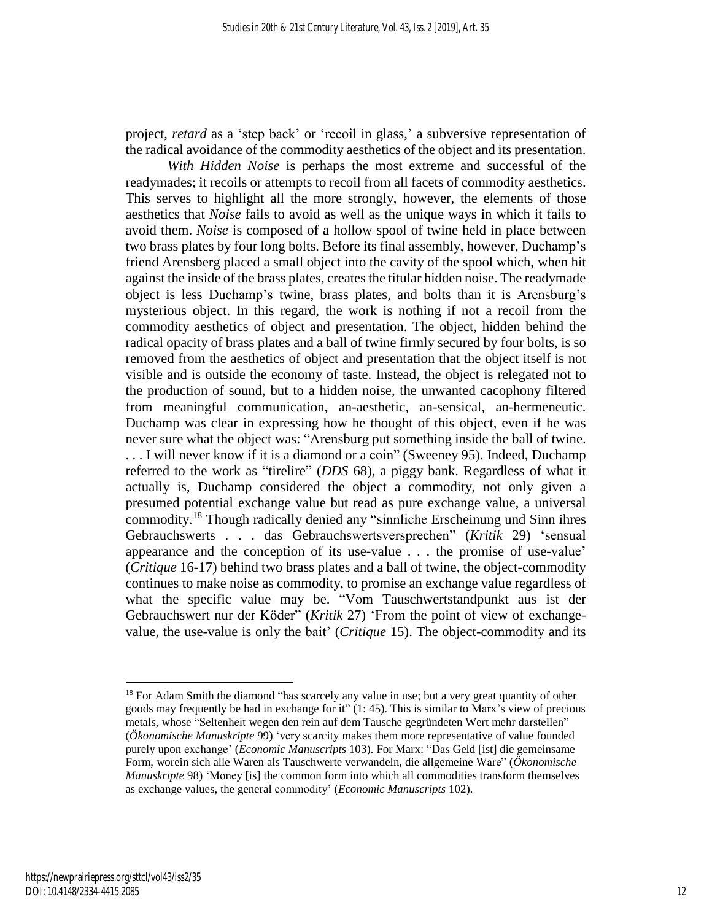project, *retard* as a 'step back' or 'recoil in glass,' a subversive representation of the radical avoidance of the commodity aesthetics of the object and its presentation.

*With Hidden Noise* is perhaps the most extreme and successful of the readymades; it recoils or attempts to recoil from all facets of commodity aesthetics. This serves to highlight all the more strongly, however, the elements of those aesthetics that *Noise* fails to avoid as well as the unique ways in which it fails to avoid them. *Noise* is composed of a hollow spool of twine held in place between two brass plates by four long bolts. Before its final assembly, however, Duchamp's friend Arensberg placed a small object into the cavity of the spool which, when hit against the inside of the brass plates, creates the titular hidden noise. The readymade object is less Duchamp's twine, brass plates, and bolts than it is Arensburg's mysterious object. In this regard, the work is nothing if not a recoil from the commodity aesthetics of object and presentation. The object, hidden behind the radical opacity of brass plates and a ball of twine firmly secured by four bolts, is so removed from the aesthetics of object and presentation that the object itself is not visible and is outside the economy of taste. Instead, the object is relegated not to the production of sound, but to a hidden noise, the unwanted cacophony filtered from meaningful communication, an-aesthetic, an-sensical, an-hermeneutic. Duchamp was clear in expressing how he thought of this object, even if he was never sure what the object was: "Arensburg put something inside the ball of twine. . . . I will never know if it is a diamond or a coin" (Sweeney 95). Indeed, Duchamp referred to the work as "tirelire" (*DDS* 68), a piggy bank. Regardless of what it actually is, Duchamp considered the object a commodity, not only given a presumed potential exchange value but read as pure exchange value, a universal commodity.<sup>18</sup> Though radically denied any "sinnliche Erscheinung und Sinn ihres Gebrauchswerts . . . das Gebrauchswertsversprechen" (*Kritik* 29) 'sensual appearance and the conception of its use-value . . . the promise of use-value' (*Critique* 16-17) behind two brass plates and a ball of twine, the object-commodity continues to make noise as commodity, to promise an exchange value regardless of what the specific value may be. "Vom Tauschwertstandpunkt aus ist der Gebrauchswert nur der Köder" (*Kritik* 27) 'From the point of view of exchangevalue, the use-value is only the bait' (*Critique* 15). The object-commodity and its

<sup>&</sup>lt;sup>18</sup> For Adam Smith the diamond "has scarcely any value in use; but a very great quantity of other goods may frequently be had in exchange for it" (1: 45). This is similar to Marx's view of precious metals, whose "Seltenheit wegen den rein auf dem Tausche gegründeten Wert mehr darstellen" (*Ökonomische Manuskripte* 99) 'very scarcity makes them more representative of value founded purely upon exchange' (*Economic Manuscripts* 103). For Marx: "Das Geld [ist] die gemeinsame Form, worein sich alle Waren als Tauschwerte verwandeln, die allgemeine Ware" (*Ökonomische Manuskripte* 98) 'Money [is] the common form into which all commodities transform themselves as exchange values, the general commodity' (*Economic Manuscripts* 102).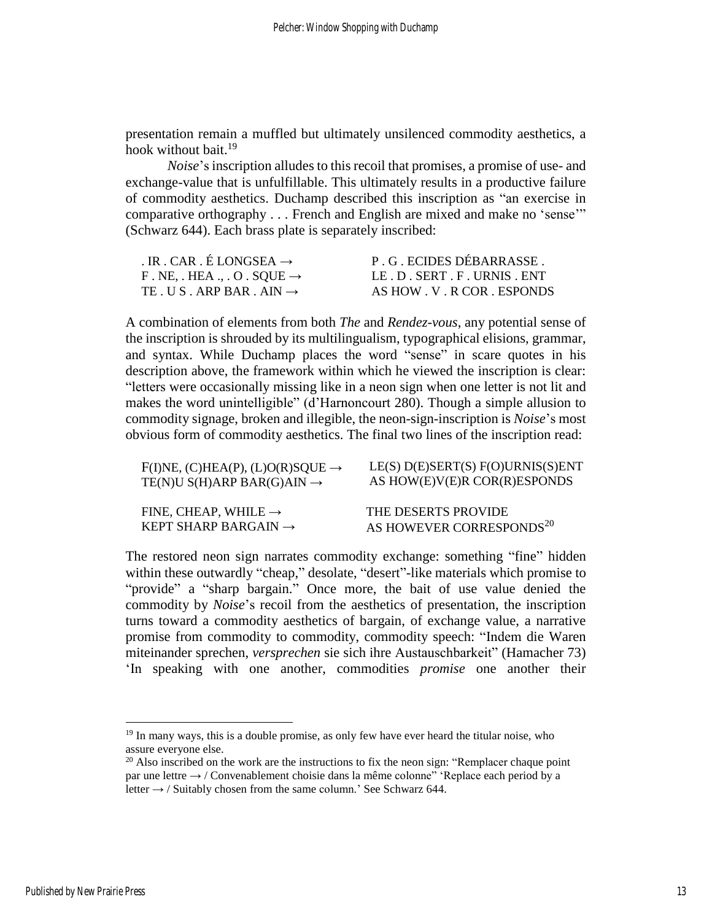presentation remain a muffled but ultimately unsilenced commodity aesthetics, a hook without bait. $19$ 

*Noise*'s inscription alludes to this recoil that promises, a promise of use- and exchange-value that is unfulfillable. This ultimately results in a productive failure of commodity aesthetics. Duchamp described this inscription as "an exercise in comparative orthography . . . French and English are mixed and make no 'sense'" (Schwarz 644). Each brass plate is separately inscribed:

| . IR . CAR . É LONGSEA $\rightarrow$                 | P. G. ECIDES DÉBARRASSE. |
|------------------------------------------------------|--------------------------|
| F. NE, $HEA$ ., $\cdot$ O $\cdot$ SQUE $\rightarrow$ | LE D SERT F URNIS ENT    |
| TE US ARP BAR AIN $\rightarrow$                      | AS HOW V. R COR ESPONDS  |

A combination of elements from both *The* and *Rendez-vous*, any potential sense of the inscription is shrouded by its multilingualism, typographical elisions, grammar, and syntax. While Duchamp places the word "sense" in scare quotes in his description above, the framework within which he viewed the inscription is clear: "letters were occasionally missing like in a neon sign when one letter is not lit and makes the word unintelligible" (d'Harnoncourt 280). Though a simple allusion to commodity signage, broken and illegible, the neon-sign-inscription is *Noise*'s most obvious form of commodity aesthetics. The final two lines of the inscription read:

| $F(I)NE$ , (C)HEA(P), (L)O(R)SQUE $\rightarrow$ | $LE(S) D(E) \text{SERT}(S) F(O) \text{URNIS}(S) \text{ENT}$ |
|-------------------------------------------------|-------------------------------------------------------------|
| TE(N)U S(H)ARP BAR(G)AIN $\rightarrow$          | AS HOW(E)V(E)R COR(R)ESPONDS                                |
| FINE, CHEAP, WHILE $\rightarrow$                | THE DESERTS PROVIDE                                         |
| KEPT SHARP BARGAIN $\rightarrow$                | AS HOWEVER CORRESPONDS <sup>20</sup>                        |

The restored neon sign narrates commodity exchange: something "fine" hidden within these outwardly "cheap," desolate, "desert"-like materials which promise to "provide" a "sharp bargain." Once more, the bait of use value denied the commodity by *Noise*'s recoil from the aesthetics of presentation, the inscription turns toward a commodity aesthetics of bargain, of exchange value, a narrative promise from commodity to commodity, commodity speech: "Indem die Waren miteinander sprechen, *versprechen* sie sich ihre Austauschbarkeit" (Hamacher 73) 'In speaking with one another, commodities *promise* one another their

<sup>&</sup>lt;sup>19</sup> In many ways, this is a double promise, as only few have ever heard the titular noise, who assure everyone else.

 $20$  Also inscribed on the work are the instructions to fix the neon sign: "Remplacer chaque point par une lettre  $\rightarrow$  / Convenablement choisie dans la même colonne" 'Replace each period by a letter  $\rightarrow$  / Suitably chosen from the same column.' See Schwarz 644.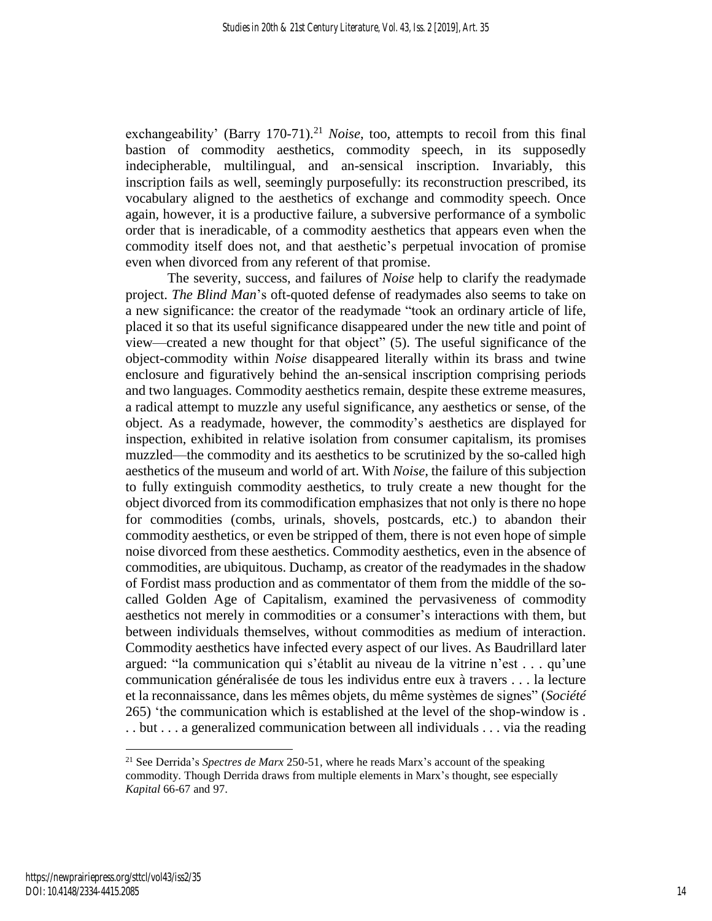exchangeability' (Barry 170-71).<sup>21</sup> *Noise*, too, attempts to recoil from this final bastion of commodity aesthetics, commodity speech, in its supposedly indecipherable, multilingual, and an-sensical inscription. Invariably, this inscription fails as well, seemingly purposefully: its reconstruction prescribed, its vocabulary aligned to the aesthetics of exchange and commodity speech. Once again, however, it is a productive failure, a subversive performance of a symbolic order that is ineradicable, of a commodity aesthetics that appears even when the commodity itself does not, and that aesthetic's perpetual invocation of promise even when divorced from any referent of that promise.

The severity, success, and failures of *Noise* help to clarify the readymade project. *The Blind Man*'s oft-quoted defense of readymades also seems to take on a new significance: the creator of the readymade "took an ordinary article of life, placed it so that its useful significance disappeared under the new title and point of view—created a new thought for that object" (5). The useful significance of the object-commodity within *Noise* disappeared literally within its brass and twine enclosure and figuratively behind the an-sensical inscription comprising periods and two languages. Commodity aesthetics remain, despite these extreme measures, a radical attempt to muzzle any useful significance, any aesthetics or sense, of the object. As a readymade, however, the commodity's aesthetics are displayed for inspection, exhibited in relative isolation from consumer capitalism, its promises muzzled—the commodity and its aesthetics to be scrutinized by the so-called high aesthetics of the museum and world of art. With *Noise*, the failure of this subjection to fully extinguish commodity aesthetics, to truly create a new thought for the object divorced from its commodification emphasizes that not only is there no hope for commodities (combs, urinals, shovels, postcards, etc.) to abandon their commodity aesthetics, or even be stripped of them, there is not even hope of simple noise divorced from these aesthetics. Commodity aesthetics, even in the absence of commodities, are ubiquitous. Duchamp, as creator of the readymades in the shadow of Fordist mass production and as commentator of them from the middle of the socalled Golden Age of Capitalism, examined the pervasiveness of commodity aesthetics not merely in commodities or a consumer's interactions with them, but between individuals themselves, without commodities as medium of interaction. Commodity aesthetics have infected every aspect of our lives. As Baudrillard later argued: "la communication qui s'établit au niveau de la vitrine n'est . . . qu'une communication généralisée de tous les individus entre eux à travers . . . la lecture et la reconnaissance, dans les mêmes objets, du même systèmes de signes" (*Société* 265) 'the communication which is established at the level of the shop-window is . . . but . . . a generalized communication between all individuals . . . via the reading

<sup>21</sup> See Derrida's *Spectres de Marx* 250-51, where he reads Marx's account of the speaking commodity. Though Derrida draws from multiple elements in Marx's thought, see especially *Kapital* 66-67 and 97.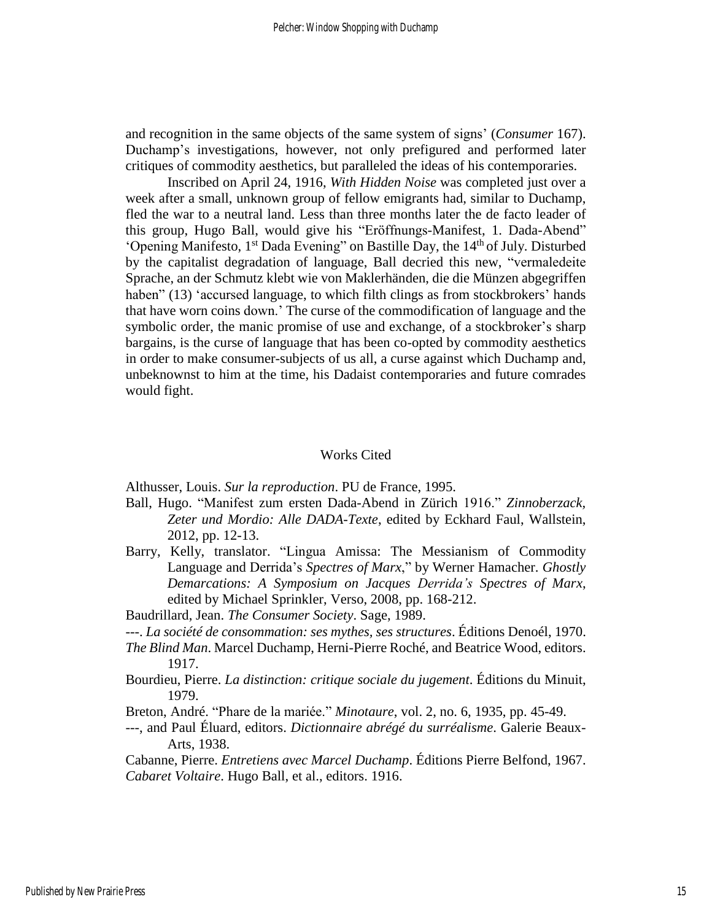and recognition in the same objects of the same system of signs' (*Consumer* 167). Duchamp's investigations, however, not only prefigured and performed later critiques of commodity aesthetics, but paralleled the ideas of his contemporaries.

Inscribed on April 24, 1916, *With Hidden Noise* was completed just over a week after a small, unknown group of fellow emigrants had, similar to Duchamp, fled the war to a neutral land. Less than three months later the de facto leader of this group, Hugo Ball, would give his "Eröffnungs-Manifest, 1. Dada-Abend" 'Opening Manifesto, 1<sup>st</sup> Dada Evening" on Bastille Day, the 14<sup>th</sup> of July. Disturbed by the capitalist degradation of language, Ball decried this new, "vermaledeite Sprache, an der Schmutz klebt wie von Maklerhänden, die die Münzen abgegriffen haben" (13) 'accursed language, to which filth clings as from stockbrokers' hands that have worn coins down.' The curse of the commodification of language and the symbolic order, the manic promise of use and exchange, of a stockbroker's sharp bargains, is the curse of language that has been co-opted by commodity aesthetics in order to make consumer-subjects of us all, a curse against which Duchamp and, unbeknownst to him at the time, his Dadaist contemporaries and future comrades would fight.

#### Works Cited

Althusser, Louis. *Sur la reproduction*. PU de France, 1995.

- Ball, Hugo. "Manifest zum ersten Dada-Abend in Zürich 1916." *Zinnoberzack, Zeter und Mordio: Alle DADA-Texte*, edited by Eckhard Faul, Wallstein, 2012, pp. 12-13.
- Barry, Kelly, translator. "Lingua Amissa: The Messianism of Commodity Language and Derrida's *Spectres of Marx*," by Werner Hamacher. *Ghostly Demarcations: A Symposium on Jacques Derrida's Spectres of Marx*, edited by Michael Sprinkler, Verso, 2008, pp. 168-212.

Baudrillard, Jean. *The Consumer Society*. Sage, 1989.

- ---. *La société de consommation: ses mythes, ses structures*. Éditions Denoél, 1970.
- *The Blind Man*. Marcel Duchamp, Herni-Pierre Roché, and Beatrice Wood, editors. 1917.
- Bourdieu, Pierre. *La distinction: critique sociale du jugement*. Éditions du Minuit, 1979.
- Breton, André. "Phare de la mariée." *Minotaure*, vol. 2, no. 6, 1935, pp. 45-49.
- ---, and Paul Éluard, editors. *Dictionnaire abrégé du surréalisme*. Galerie Beaux-Arts, 1938.

Cabanne, Pierre. *Entretiens avec Marcel Duchamp*. Éditions Pierre Belfond, 1967. *Cabaret Voltaire*. Hugo Ball, et al., editors. 1916.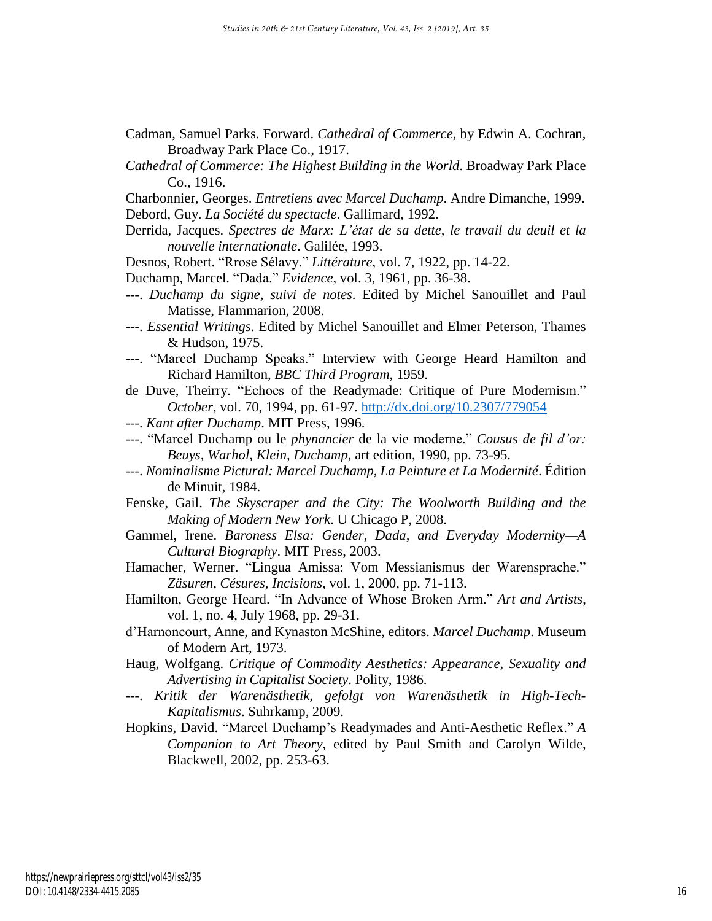- Cadman, Samuel Parks. Forward. *Cathedral of Commerce*, by Edwin A. Cochran, Broadway Park Place Co., 1917.
- *Cathedral of Commerce: The Highest Building in the World*. Broadway Park Place Co., 1916.
- Charbonnier, Georges. *Entretiens avec Marcel Duchamp*. Andre Dimanche, 1999. Debord, Guy. *La Société du spectacle*. Gallimard, 1992.
- Derrida, Jacques. *Spectres de Marx: L'état de sa dette, le travail du deuil et la nouvelle internationale*. Galilée, 1993.
- Desnos, Robert. "Rrose Sélavy." *Littérature*, vol. 7, 1922, pp. 14-22.
- Duchamp, Marcel. "Dada." *Evidence*, vol. 3, 1961, pp. 36-38.
- ---. *Duchamp du signe, suivi de notes*. Edited by Michel Sanouillet and Paul Matisse, Flammarion, 2008.
- ---. *Essential Writings*. Edited by Michel Sanouillet and Elmer Peterson, Thames & Hudson, 1975.
- ---. "Marcel Duchamp Speaks." Interview with George Heard Hamilton and Richard Hamilton, *BBC Third Program*, 1959.
- de Duve, Theirry. "Echoes of the Readymade: Critique of Pure Modernism." *October*, vol. 70, 1994, pp. 61-97. <http://dx.doi.org/10.2307/779054>
- ---. *Kant after Duchamp*. MIT Press, 1996.
- ---. "Marcel Duchamp ou le *phynancier* de la vie moderne." *Cousus de fil d'or: Beuys, Warhol, Klein, Duchamp*, art edition, 1990, pp. 73-95.
- ---. *Nominalisme Pictural: Marcel Duchamp, La Peinture et La Modernité*. Édition de Minuit, 1984.
- Fenske, Gail. *The Skyscraper and the City: The Woolworth Building and the Making of Modern New York*. U Chicago P, 2008.
- Gammel, Irene. *Baroness Elsa: Gender, Dada, and Everyday Modernity—A Cultural Biography*. MIT Press, 2003.
- Hamacher, Werner. "Lingua Amissa: Vom Messianismus der Warensprache." *Zäsuren, Césures, Incisions*, vol. 1, 2000, pp. 71-113.
- Hamilton, George Heard. "In Advance of Whose Broken Arm." *Art and Artists*, vol. 1, no. 4, July 1968, pp. 29-31.
- d'Harnoncourt, Anne, and Kynaston McShine, editors. *Marcel Duchamp*. Museum of Modern Art, 1973.
- Haug, Wolfgang. *Critique of Commodity Aesthetics: Appearance, Sexuality and Advertising in Capitalist Society*. Polity, 1986.
- ---. *Kritik der Warenästhetik, gefolgt von Warenästhetik in High-Tech-Kapitalismus*. Suhrkamp, 2009.
- Hopkins, David. "Marcel Duchamp's Readymades and Anti-Aesthetic Reflex." *A Companion to Art Theory*, edited by Paul Smith and Carolyn Wilde, Blackwell, 2002, pp. 253-63.